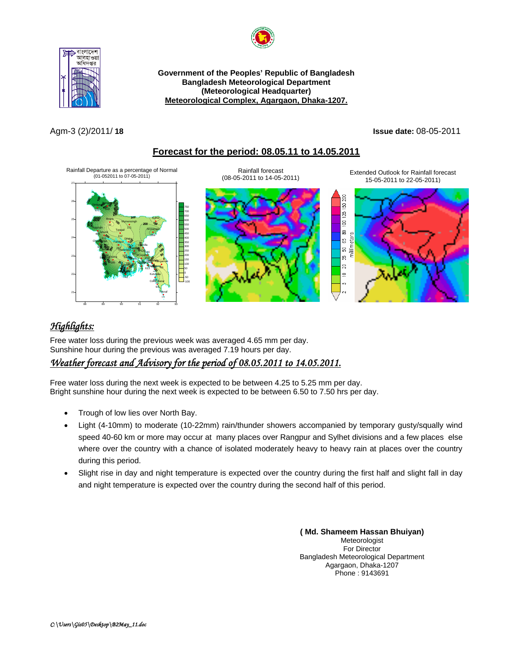



**Government of the Peoples' Republic of Bangladesh Bangladesh Meteorological Department (Meteorological Headquarter)**  <sup>U</sup>**Meteorological Complex, Agargaon, Dhaka-1207.**

#### Agm-3 (2)/2011/ **18 Issue date:** 08-05-2011

### <sup>U</sup>**Forecast for the period: 08.05.11 to 14.05.2011**



# <sup>U</sup>*Highlights:*

Free water loss during the previous week was averaged 4.65 mm per day. Sunshine hour during the previous was averaged 7.19 hours per day.

## <sup>U</sup>*Weather forecast and Advisory for the period of 08.05.2011 to 14.05.2011.*

Free water loss during the next week is expected to be between 4.25 to 5.25 mm per day. Bright sunshine hour during the next week is expected to be between 6.50 to 7.50 hrs per day.

- Trough of low lies over North Bay.
- Light (4-10mm) to moderate (10-22mm) rain/thunder showers accompanied by temporary gusty/squally wind speed 40-60 km or more may occur at many places over Rangpur and Sylhet divisions and a few places else where over the country with a chance of isolated moderately heavy to heavy rain at places over the country during this period.
- Slight rise in day and night temperature is expected over the country during the first half and slight fall in day and night temperature is expected over the country during the second half of this period.

**( Md. Shameem Hassan Bhuiyan)** Meteorologist For Director Bangladesh Meteorological Department Agargaon, Dhaka-1207 Phone : 9143691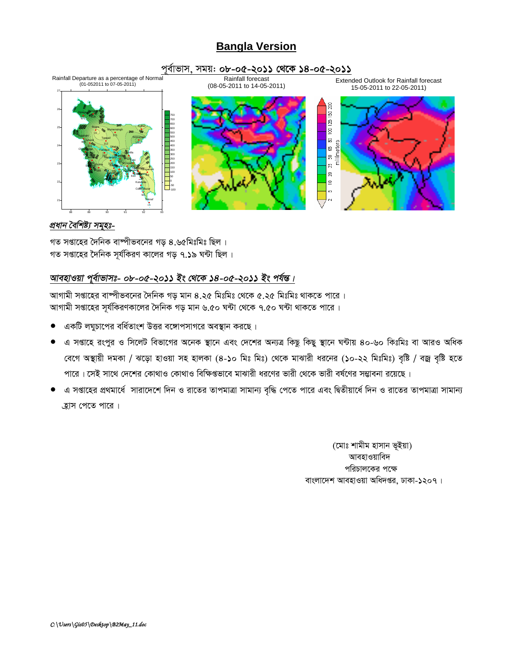## **Bangla Version**

#### পূর্বাভাস, সময়: ০৮-০৫-২০১১ থেকে ১৪-০৫-২০১১



#### প্ৰধান বৈশিষ্ট্য সমূহঃ-

গত সপ্তাহের দৈনিক বাম্পীভবনের গড় ৪.৬৫মিঃমিঃ ছিল। গত সপ্তাহের দৈনিক সর্যকিরণ কালের গড ৭.১৯ ঘন্টা ছিল।

## আবহাওয়া পূর্বাভাসঃ- ০৮-০৫-২০১১ ইং থেকে ১৪-০৫-২০১১ ইং পর্যন্ত।

আগামী সপ্তাহের বাষ্পীভবনের দৈনিক গড় মান ৪.২৫ মিঃমিঃ থেকে ৫.২৫ মিঃমিঃ থাকতে পারে । আগামী সপ্তাহের সূর্যকিরণকালের দৈনিক গড় মান ৬.৫০ ঘন্টা থেকে ৭.৫০ ঘন্টা থাকতে পারে ।

- একটি লঘুচাপের বর্ধিতাংশ উত্তর বঙ্গোপসাগরে অবস্থান করছে।
- এ সপ্তাহে রংপুর ও সিলেট বিভাগের অনেক স্থানে এবং দেশের অন্যত্র কিছু কিছু স্থানে ঘন্টায় ৪০-৬০ কিঃমিঃ বা আরও অধিক বেগে অস্থায়ী দমকা / ঝড়ো হাওয়া সহ হালকা (8-১০ মিঃ মিঃ) থেকে মাঝারী ধরনের (১০-২২ মিঃমিঃ) বৃষ্টি / বজ্র বৃষ্টি হতে পারে। সেই সাথে দেশের কোথাও কোথাও বিক্ষিগুভাবে মাঝারী ধরণের ভারী থেকে ভারী বর্ষণের সম্ভাবনা রয়েছে।
- এ সপ্তাহের প্রথমার্ধে সারাদেশে দিন ও রাতের তাপমাত্রা সামান্য বৃদ্ধি পেতে পারে এবং দ্বিতীয়ার্ধে দিন ও রাতের তাপমাত্রা সামান্য হ্রাস পেতে পারে।

(মোঃ শামীম হাসান ভূইয়া) আবহাওয়াবিদ পরিচালকের পক্ষে বাংলাদেশ আবহাওয়া অধিদপ্তর, ঢাকা-১২০৭।